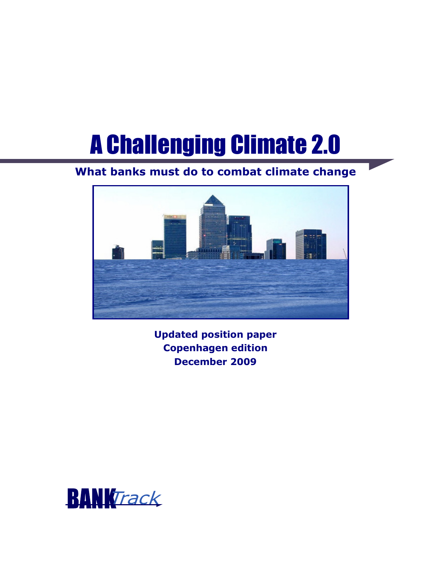# A Challenging Climate 2.0

## **What banks must do to combat climate change**



**Updated position paper Copenhagen edition December 2009** 

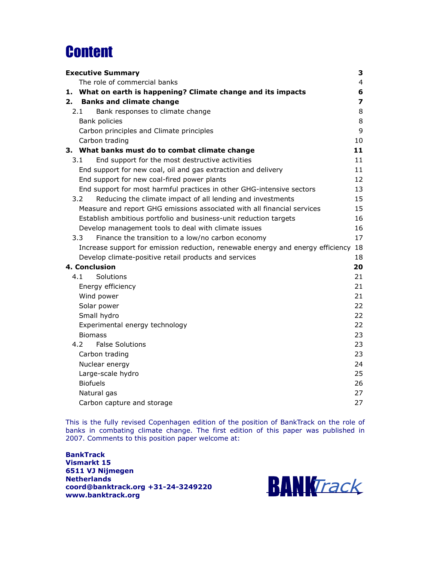## **Content**

| <b>Executive Summary</b>                                                        | 3  |
|---------------------------------------------------------------------------------|----|
| The role of commercial banks                                                    | 4  |
| What on earth is happening? Climate change and its impacts<br>1.                | 6  |
| <b>Banks and climate change</b><br>2.                                           | 7  |
| 2.1<br>Bank responses to climate change                                         | 8  |
| Bank policies                                                                   | 8  |
| Carbon principles and Climate principles                                        | 9  |
| Carbon trading                                                                  | 10 |
| 3. What banks must do to combat climate change                                  | 11 |
| End support for the most destructive activities<br>3.1                          | 11 |
| End support for new coal, oil and gas extraction and delivery                   | 11 |
| End support for new coal-fired power plants                                     | 12 |
| End support for most harmful practices in other GHG-intensive sectors           | 13 |
| 3.2<br>Reducing the climate impact of all lending and investments               | 15 |
| Measure and report GHG emissions associated with all financial services         | 15 |
| Establish ambitious portfolio and business-unit reduction targets               | 16 |
| Develop management tools to deal with climate issues                            | 16 |
| Finance the transition to a low/no carbon economy<br>3.3                        | 17 |
| Increase support for emission reduction, renewable energy and energy efficiency | 18 |
| Develop climate-positive retail products and services                           | 18 |
| 4. Conclusion                                                                   | 20 |
| 4.1<br>Solutions                                                                | 21 |
| Energy efficiency                                                               | 21 |
| Wind power                                                                      | 21 |
| Solar power                                                                     | 22 |
| Small hydro                                                                     | 22 |
| Experimental energy technology                                                  | 22 |
| <b>Biomass</b>                                                                  | 23 |
| 4.2<br><b>False Solutions</b>                                                   | 23 |
| Carbon trading                                                                  | 23 |
| Nuclear energy                                                                  | 24 |
| Large-scale hydro                                                               | 25 |
| <b>Biofuels</b>                                                                 | 26 |
| Natural gas                                                                     | 27 |
| Carbon capture and storage                                                      | 27 |

This is the fully revised Copenhagen edition of the position of BankTrack on the role of banks in combating climate change. The first edition of this paper was published in 2007. Comments to this position paper welcome at:

**BankTrack Vismarkt 15 6511 VJ Nijmegen Netherlands coord@banktrack.org +31-24-3249220 www.banktrack.org** 

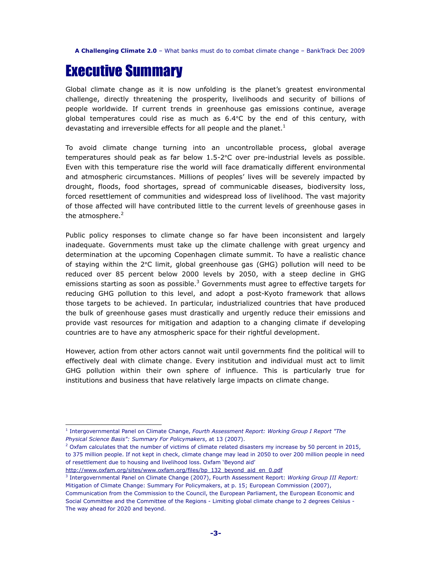## Executive Summary

Global climate change as it is now unfolding is the planet's greatest environmental challenge, directly threatening the prosperity, livelihoods and security of billions of people worldwide. If current trends in greenhouse gas emissions continue, average global temperatures could rise as much as 6.4°C by the end of this century, with devastating and irreversible effects for all people and the planet. $<sup>1</sup>$ </sup>

To avoid climate change turning into an uncontrollable process, global average temperatures should peak as far below 1.5-2°C over pre-industrial levels as possible. Even with this temperature rise the world will face dramatically different environmental and atmospheric circumstances. Millions of peoples' lives will be severely impacted by drought, floods, food shortages, spread of communicable diseases, biodiversity loss, forced resettlement of communities and widespread loss of livelihood. The vast majority of those affected will have contributed little to the current levels of greenhouse gases in the atmosphere. $2$ 

Public policy responses to climate change so far have been inconsistent and largely inadequate. Governments must take up the climate challenge with great urgency and determination at the upcoming Copenhagen climate summit. To have a realistic chance of staying within the 2°C limit, global greenhouse gas (GHG) pollution will need to be reduced over 85 percent below 2000 levels by 2050, with a steep decline in GHG emissions starting as soon as possible. $^3$  Governments must agree to effective targets for reducing GHG pollution to this level, and adopt a post-Kyoto framework that allows those targets to be achieved. In particular, industrialized countries that have produced the bulk of greenhouse gases must drastically and urgently reduce their emissions and provide vast resources for mitigation and adaption to a changing climate if developing countries are to have any atmospheric space for their rightful development.

However, action from other actors cannot wait until governments find the political will to effectively deal with climate change. Every institution and individual must act to limit GHG pollution within their own sphere of influence. This is particularly true for institutions and business that have relatively large impacts on climate change.

<sup>1</sup> Intergovernmental Panel on Climate Change, *Fourth Assessment Report: Working Group I Report "The Physical Science Basis": Summary For Policymakers*, at 13 (2007).

<sup>&</sup>lt;sup>2</sup> Oxfam calculates that the number of victims of climate related disasters my increase by 50 percent in 2015, to 375 million people. If not kept in check, climate change may lead in 2050 to over 200 million people in need of resettlement due to housing and livelihood loss. Oxfam 'Beyond aid'

http://www.oxfam.org/sites/www.oxfam.org/files/bp\_132\_beyond\_aid\_en\_0.pdf

<sup>3</sup> Intergovernmental Panel on Climate Change (2007), Fourth Assessment Report: *Working Group III Report:*  Mitigation of Climate Change: Summary For Policymakers, at p. 15; European Commission (2007),

Communication from the Commission to the Council, the European Parliament, the European Economic and Social Committee and the Committee of the Regions - Limiting global climate change to 2 degrees Celsius - The way ahead for 2020 and beyond.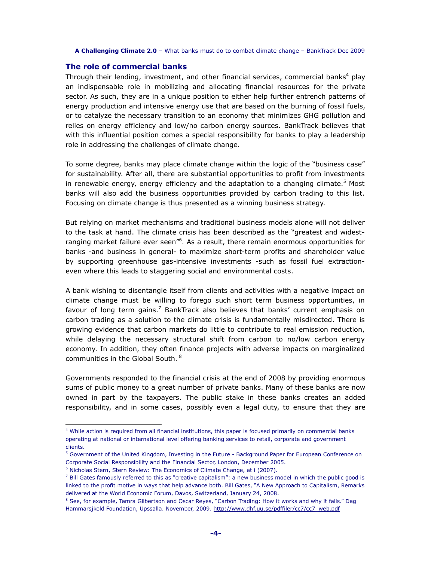## **The role of commercial banks**

Through their lending, investment, and other financial services, commercial banks<sup>4</sup> play an indispensable role in mobilizing and allocating financial resources for the private sector. As such, they are in a unique position to either help further entrench patterns of energy production and intensive energy use that are based on the burning of fossil fuels, or to catalyze the necessary transition to an economy that minimizes GHG pollution and relies on energy efficiency and low/no carbon energy sources. BankTrack believes that with this influential position comes a special responsibility for banks to play a leadership role in addressing the challenges of climate change.

To some degree, banks may place climate change within the logic of the "business case" for sustainability. After all, there are substantial opportunities to profit from investments in renewable energy, energy efficiency and the adaptation to a changing climate.<sup>5</sup> Most banks will also add the business opportunities provided by carbon trading to this list. Focusing on climate change is thus presented as a winning business strategy.

But relying on market mechanisms and traditional business models alone will not deliver to the task at hand. The climate crisis has been described as the "greatest and widestranging market failure ever seen<sup>"6</sup>. As a result, there remain enormous opportunities for banks -and business in general- to maximize short-term profits and shareholder value by supporting greenhouse gas-intensive investments -such as fossil fuel extractioneven where this leads to staggering social and environmental costs.

A bank wishing to disentangle itself from clients and activities with a negative impact on climate change must be willing to forego such short term business opportunities, in favour of long term gains.<sup>7</sup> BankTrack also believes that banks' current emphasis on carbon trading as a solution to the climate crisis is fundamentally misdirected. There is growing evidence that carbon markets do little to contribute to real emission reduction, while delaying the necessary structural shift from carbon to no/low carbon energy economy. In addition, they often finance projects with adverse impacts on marginalized communities in the Global South. <sup>8</sup>

Governments responded to the financial crisis at the end of 2008 by providing enormous sums of public money to a great number of private banks. Many of these banks are now owned in part by the taxpayers. The public stake in these banks creates an added responsibility, and in some cases, possibly even a legal duty, to ensure that they are

<sup>4</sup> While action is required from all financial institutions, this paper is focused primarily on commercial banks operating at national or international level offering banking services to retail, corporate and government clients.

<sup>&</sup>lt;sup>5</sup> Government of the United Kingdom, Investing in the Future - Background Paper for European Conference on Corporate Social Responsibility and the Financial Sector, London, December 2005.

<sup>&</sup>lt;sup>6</sup> Nicholas Stern, Stern Review: The Economics of Climate Change, at i (2007).

 $^7$  Bill Gates famously referred to this as "creative capitalism": a new business model in which the public good is linked to the profit motive in ways that help advance both. Bill Gates, "A New Approach to Capitalism, Remarks delivered at the World Economic Forum, Davos, Switzerland, January 24, 2008.

 $^8$  See, for example, Tamra Gilbertson and Oscar Reyes, "Carbon Trading: How it works and why it fails." Dag Hammarsjkold Foundation, Upssalla. November, 2009. http://www.dhf.uu.se/pdffiler/cc7/cc7\_web.pdf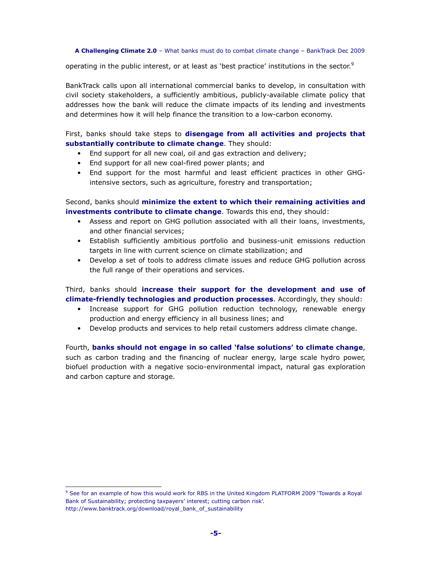operating in the public interest, or at least as 'best practice' institutions in the sector.<sup>9</sup>

BankTrack calls upon all international commercial banks to develop, in consultation with civil society stakeholders, a sufficiently ambitious, publicly-available climate policy that addresses how the bank will reduce the climate impacts of its lending and investments and determines how it will help finance the transition to a low-carbon economy.

First, banks should take steps to **disengage from all activities and projects that substantially contribute to climate change**. They should:

- End support for all new coal, oil and gas extraction and delivery;
- End support for all new coal-fired power plants; and
- End support for the most harmful and least efficient practices in other GHGintensive sectors, such as agriculture, forestry and transportation;

Second, banks should **minimize the extent to which their remaining activities and investments contribute to climate change**. Towards this end, they should:

- Assess and report on GHG pollution associated with all their loans, investments, and other financial services;
- Establish sufficiently ambitious portfolio and business-unit emissions reduction targets in line with current science on climate stabilization; and
- Develop a set of tools to address climate issues and reduce GHG pollution across the full range of their operations and services.

Third, banks should **increase their support for the development and use of climate-friendly technologies and production processes**. Accordingly, they should:

- Increase support for GHG pollution reduction technology, renewable energy production and energy efficiency in all business lines; and
- Develop products and services to help retail customers address climate change.

Fourth, **banks should not engage in so called 'false solutions' to climate change**, such as carbon trading and the financing of nuclear energy, large scale hydro power, biofuel production with a negative socio-environmental impact, natural gas exploration and carbon capture and storage.

<sup>9</sup> See for an example of how this would work for RBS in the United Kingdom PLATFORM 2009 'Towards a Royal Bank of Sustainability; protecting taxpayers' interest; cutting carbon risk'. http://www.banktrack.org/download/royal\_bank\_of\_sustainability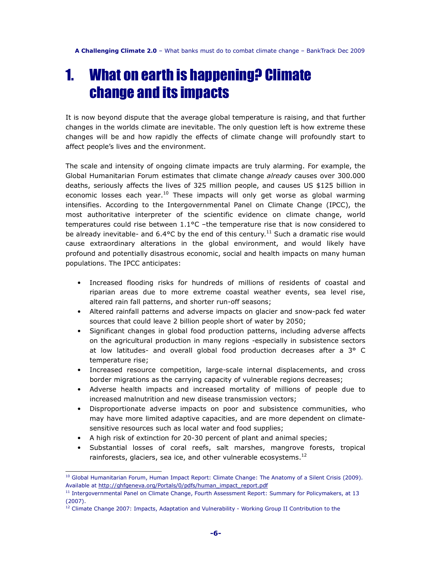## 1. What on earth is happening? Climate change and its impacts

It is now beyond dispute that the average global temperature is raising, and that further changes in the worlds climate are inevitable. The only question left is how extreme these changes will be and how rapidly the effects of climate change will profoundly start to affect people's lives and the environment.

The scale and intensity of ongoing climate impacts are truly alarming. For example, the Global Humanitarian Forum estimates that climate change *already* causes over 300.000 deaths, seriously affects the lives of 325 million people, and causes US \$125 billion in economic losses each year.<sup>10</sup> These impacts will only get worse as global warming intensifies. According to the Intergovernmental Panel on Climate Change (IPCC), the most authoritative interpreter of the scientific evidence on climate change, world temperatures could rise between 1.1°C –the temperature rise that is now considered to be already inevitable- and  $6.4$ °C by the end of this century.<sup>11</sup> Such a dramatic rise would cause extraordinary alterations in the global environment, and would likely have profound and potentially disastrous economic, social and health impacts on many human populations. The IPCC anticipates:

- Increased flooding risks for hundreds of millions of residents of coastal and riparian areas due to more extreme coastal weather events, sea level rise, altered rain fall patterns, and shorter run-off seasons;
- Altered rainfall patterns and adverse impacts on glacier and snow-pack fed water sources that could leave 2 billion people short of water by 2050;
- Significant changes in global food production patterns, including adverse affects on the agricultural production in many regions -especially in subsistence sectors at low latitudes- and overall global food production decreases after a 3° C temperature rise;
- Increased resource competition, large-scale internal displacements, and cross border migrations as the carrying capacity of vulnerable regions decreases;
- Adverse health impacts and increased mortality of millions of people due to increased malnutrition and new disease transmission vectors;
- Disproportionate adverse impacts on poor and subsistence communities, who may have more limited adaptive capacities, and are more dependent on climatesensitive resources such as local water and food supplies;
- A high risk of extinction for 20-30 percent of plant and animal species;

 $\overline{a}$ 

• Substantial losses of coral reefs, salt marshes, mangrove forests, tropical rainforests, glaciers, sea ice, and other vulnerable ecosystems.<sup>12</sup>

<sup>&</sup>lt;sup>10</sup> Global Humanitarian Forum, Human Impact Report: Climate Change: The Anatomy of a Silent Crisis (2009). Available at http://ghfgeneva.org/Portals/0/pdfs/human\_impact\_report.pdf

<sup>&</sup>lt;sup>11</sup> Intergovernmental Panel on Climate Change, Fourth Assessment Report: Summary for Policymakers, at 13 (2007).

<sup>&</sup>lt;sup>12</sup> Climate Change 2007: Impacts, Adaptation and Vulnerability - Working Group II Contribution to the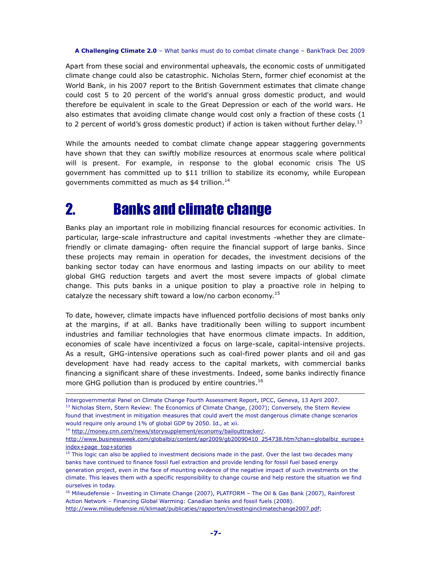Apart from these social and environmental upheavals, the economic costs of unmitigated climate change could also be catastrophic. Nicholas Stern, former chief economist at the World Bank, in his 2007 report to the British Government estimates that climate change could cost 5 to 20 percent of the world's annual gross domestic product, and would therefore be equivalent in scale to the Great Depression or each of the world wars. He also estimates that avoiding climate change would cost only a fraction of these costs (1 to 2 percent of world's gross domestic product) if action is taken without further delay.<sup>13</sup>

While the amounts needed to combat climate change appear staggering governments have shown that they can swiftly mobilize resources at enormous scale where political will is present. For example, in response to the global economic crisis The US government has committed up to \$11 trillion to stabilize its economy, while European governments committed as much as \$4 trillion.<sup>14</sup>

## 2. Banks and climate change

Banks play an important role in mobilizing financial resources for economic activities. In particular, large-scale infrastructure and capital investments -whether they are climatefriendly or climate damaging- often require the financial support of large banks. Since these projects may remain in operation for decades, the investment decisions of the banking sector today can have enormous and lasting impacts on our ability to meet global GHG reduction targets and avert the most severe impacts of global climate change. This puts banks in a unique position to play a proactive role in helping to catalyze the necessary shift toward a low/no carbon economy.<sup>15</sup>

To date, however, climate impacts have influenced portfolio decisions of most banks only at the margins, if at all. Banks have traditionally been willing to support incumbent industries and familiar technologies that have enormous climate impacts. In addition, economies of scale have incentivized a focus on large-scale, capital-intensive projects. As a result, GHG-intensive operations such as coal-fired power plants and oil and gas development have had ready access to the capital markets, with commercial banks financing a significant share of these investments. Indeed, some banks indirectly finance more GHG pollution than is produced by entire countries.<sup>16</sup>

<sup>14</sup> http://money.cnn.com/news/storysupplement/economy/bailouttracker/.

 $\overline{a}$ 

<sup>16</sup> Milieudefensie – Investing in Climate Change (2007), PLATFORM – The Oil & Gas Bank (2007), Rainforest Action Network – Financing Global Warming: Canadian banks and fossil fuels (2008).

http://www.milieudefensie.nl/klimaat/publicaties/rapporten/investinginclimatechange2007.pdf;

Intergovernmental Panel on Climate Change Fourth Assessment Report, IPCC, Geneva, 13 April 2007. <sup>13</sup> Nicholas Stern, Stern Review: The Economics of Climate Change, (2007); Conversely, the Stern Review found that investment in mitigation measures that could avert the most dangerous climate change scenarios would require only around 1% of global GDP by 2050. Id., at xii.

http://www.businessweek.com/globalbiz/content/apr2009/gb20090410\_254738.htm?chan=globalbiz\_europe+ index+page\_top+stories

<sup>&</sup>lt;sup>15</sup> This logic can also be applied to investment decisions made in the past. Over the last two decades many banks have continued to finance fossil fuel extraction and provide lending for fossil fuel based energy generation project, even in the face of mounting evidence of the negative impact of such investments on the climate. This leaves them with a specific responsibility to change course and help restore the situation we find ourselves in today.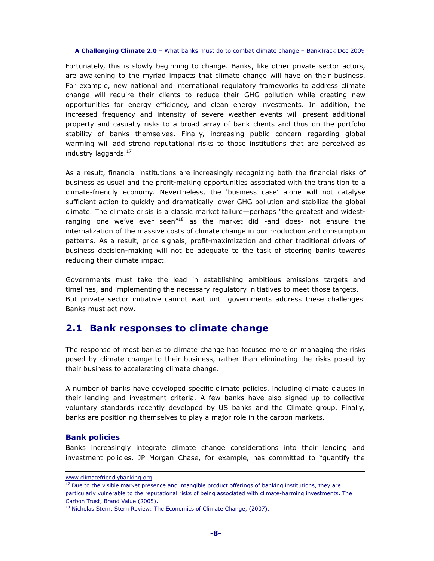Fortunately, this is slowly beginning to change. Banks, like other private sector actors, are awakening to the myriad impacts that climate change will have on their business. For example, new national and international regulatory frameworks to address climate change will require their clients to reduce their GHG pollution while creating new opportunities for energy efficiency, and clean energy investments. In addition, the increased frequency and intensity of severe weather events will present additional property and casualty risks to a broad array of bank clients and thus on the portfolio stability of banks themselves. Finally, increasing public concern regarding global warming will add strong reputational risks to those institutions that are perceived as industry laggards. $17$ 

As a result, financial institutions are increasingly recognizing both the financial risks of business as usual and the profit-making opportunities associated with the transition to a climate-friendly economy. Nevertheless, the 'business case' alone will not catalyse sufficient action to quickly and dramatically lower GHG pollution and stabilize the global climate. The climate crisis is a classic market failure—perhaps "the greatest and widestranging one we've ever seen" $^{18}$  as the market did -and does- not ensure the internalization of the massive costs of climate change in our production and consumption patterns. As a result, price signals, profit-maximization and other traditional drivers of business decision-making will not be adequate to the task of steering banks towards reducing their climate impact.

Governments must take the lead in establishing ambitious emissions targets and timelines, and implementing the necessary regulatory initiatives to meet those targets. But private sector initiative cannot wait until governments address these challenges. Banks must act now.

## **2.1 Bank responses to climate change**

The response of most banks to climate change has focused more on managing the risks posed by climate change to their business, rather than eliminating the risks posed by their business to accelerating climate change.

A number of banks have developed specific climate policies, including climate clauses in their lending and investment criteria. A few banks have also signed up to collective voluntary standards recently developed by US banks and the Climate group. Finally, banks are positioning themselves to play a major role in the carbon markets.

## **Bank policies**

 $\overline{a}$ 

Banks increasingly integrate climate change considerations into their lending and investment policies. JP Morgan Chase, for example, has committed to "quantify the

www.climatefriendlybanking.org

<sup>&</sup>lt;sup>17</sup> Due to the visible market presence and intangible product offerings of banking institutions, they are particularly vulnerable to the reputational risks of being associated with climate-harming investments. The Carbon Trust, Brand Value (2005).

<sup>&</sup>lt;sup>18</sup> Nicholas Stern, Stern Review: The Economics of Climate Change, (2007).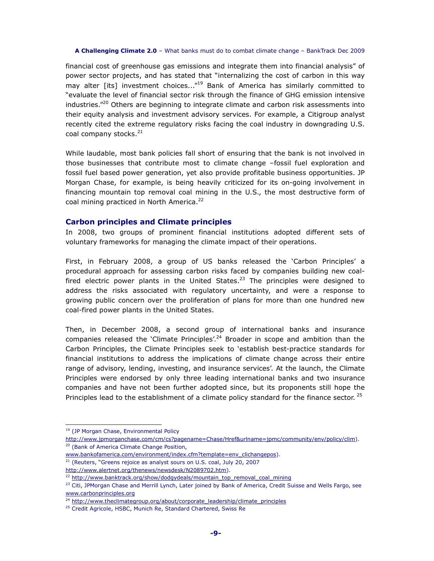financial cost of greenhouse gas emissions and integrate them into financial analysis" of power sector projects, and has stated that "internalizing the cost of carbon in this way may alter [its] investment choices..."<sup>19</sup> Bank of America has similarly committed to "evaluate the level of financial sector risk through the finance of GHG emission intensive industries."<sup>20</sup> Others are beginning to integrate climate and carbon risk assessments into their equity analysis and investment advisory services. For example, a Citigroup analyst recently cited the extreme regulatory risks facing the coal industry in downgrading U.S. coal company stocks.<sup>21</sup>

While laudable, most bank policies fall short of ensuring that the bank is not involved in those businesses that contribute most to climate change –fossil fuel exploration and fossil fuel based power generation, yet also provide profitable business opportunities. JP Morgan Chase, for example, is being heavily criticized for its on-going involvement in financing mountain top removal coal mining in the U.S., the most destructive form of coal mining practiced in North America.<sup>22</sup>

## **Carbon principles and Climate principles**

In 2008, two groups of prominent financial institutions adopted different sets of voluntary frameworks for managing the climate impact of their operations.

First, in February 2008, a group of US banks released the 'Carbon Principles' a procedural approach for assessing carbon risks faced by companies building new coalfired electric power plants in the United States.<sup>23</sup> The principles were designed to address the risks associated with regulatory uncertainty, and were a response to growing public concern over the proliferation of plans for more than one hundred new coal-fired power plants in the United States.

Then, in December 2008, a second group of international banks and insurance companies released the 'Climate Principles'.<sup>24</sup> Broader in scope and ambition than the Carbon Principles, the Climate Principles seek to 'establish best-practice standards for financial institutions to address the implications of climate change across their entire range of advisory, lending, investing, and insurance services'. At the launch, the Climate Principles were endorsed by only three leading international banks and two insurance companies and have not been further adopted since, but its proponents still hope the Principles lead to the establishment of a climate policy standard for the finance sector.<sup>25</sup>

 $\overline{a}$ 

<sup>21</sup> (Reuters, "Greens rejoice as analyst sours on U.S. coal, July 20, 2007 http://www.alertnet.org/thenews/newsdesk/N2089702.htm).

<sup>&</sup>lt;sup>19</sup> (JP Morgan Chase, Environmental Policy

http://www.jpmorganchase.com/cm/cs?pagename=Chase/Href&urlname=jpmc/community/env/policy/clim). <sup>20</sup> (Bank of America Climate Change Position,

www.bankofamerica.com/environment/index.cfm?template=env\_clichangepos).

<sup>&</sup>lt;sup>22</sup> http://www.banktrack.org/show/dodgydeals/mountain\_top\_removal\_coal\_mining

<sup>&</sup>lt;sup>23</sup> Citi, JPMorgan Chase and Merrill Lynch, Later joined by Bank of America, Credit Suisse and Wells Fargo, see www.carbonprinciples.org

<sup>&</sup>lt;sup>24</sup> http://www.theclimategroup.org/about/corporate\_leadership/climate\_principles

<sup>&</sup>lt;sup>25</sup> Credit Agricole, HSBC, Munich Re, Standard Chartered, Swiss Re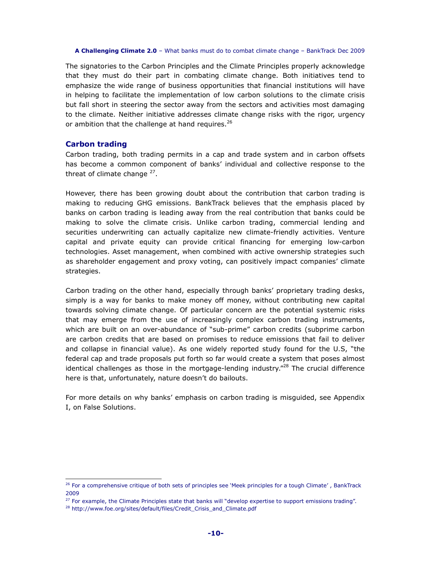The signatories to the Carbon Principles and the Climate Principles properly acknowledge that they must do their part in combating climate change. Both initiatives tend to emphasize the wide range of business opportunities that financial institutions will have in helping to facilitate the implementation of low carbon solutions to the climate crisis but fall short in steering the sector away from the sectors and activities most damaging to the climate. Neither initiative addresses climate change risks with the rigor, urgency or ambition that the challenge at hand requires.<sup>26</sup>

## **Carbon trading**

 $\overline{a}$ 

Carbon trading, both trading permits in a cap and trade system and in carbon offsets has become a common component of banks' individual and collective response to the threat of climate change <sup>27</sup>.

However, there has been growing doubt about the contribution that carbon trading is making to reducing GHG emissions. BankTrack believes that the emphasis placed by banks on carbon trading is leading away from the real contribution that banks could be making to solve the climate crisis. Unlike carbon trading, commercial lending and securities underwriting can actually capitalize new climate-friendly activities. Venture capital and private equity can provide critical financing for emerging low-carbon technologies. Asset management, when combined with active ownership strategies such as shareholder engagement and proxy voting, can positively impact companies' climate strategies.

Carbon trading on the other hand, especially through banks' proprietary trading desks, simply is a way for banks to make money off money, without contributing new capital towards solving climate change. Of particular concern are the potential systemic risks that may emerge from the use of increasingly complex carbon trading instruments, which are built on an over-abundance of "sub-prime" carbon credits (subprime carbon are carbon credits that are based on promises to reduce emissions that fail to deliver and collapse in financial value). As one widely reported study found for the U.S, "the federal cap and trade proposals put forth so far would create a system that poses almost identical challenges as those in the mortgage-lending industry. $^{28}$  The crucial difference here is that, unfortunately, nature doesn't do bailouts.

For more details on why banks' emphasis on carbon trading is misguided, see Appendix I, on False Solutions.

<sup>&</sup>lt;sup>26</sup> For a comprehensive critique of both sets of principles see 'Meek principles for a tough Climate', BankTrack 2009

<sup>&</sup>lt;sup>27</sup> For example, the Climate Principles state that banks will "develop expertise to support emissions trading".

<sup>28</sup> http://www.foe.org/sites/default/files/Credit\_Crisis\_and\_Climate.pdf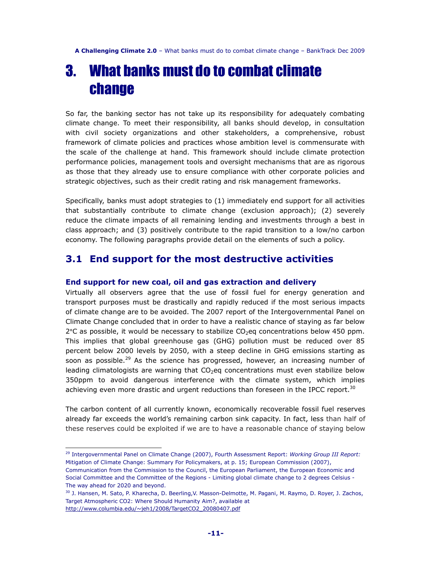## 3. What banks must do to combat climate change

So far, the banking sector has not take up its responsibility for adequately combating climate change. To meet their responsibility, all banks should develop, in consultation with civil society organizations and other stakeholders, a comprehensive, robust framework of climate policies and practices whose ambition level is commensurate with the scale of the challenge at hand. This framework should include climate protection performance policies, management tools and oversight mechanisms that are as rigorous as those that they already use to ensure compliance with other corporate policies and strategic objectives, such as their credit rating and risk management frameworks.

Specifically, banks must adopt strategies to (1) immediately end support for all activities that substantially contribute to climate change (exclusion approach); (2) severely reduce the climate impacts of all remaining lending and investments through a best in class approach; and (3) positively contribute to the rapid transition to a low/no carbon economy. The following paragraphs provide detail on the elements of such a policy.

## **3.1 End support for the most destructive activities**

## **End support for new coal, oil and gas extraction and delivery**

Virtually all observers agree that the use of fossil fuel for energy generation and transport purposes must be drastically and rapidly reduced if the most serious impacts of climate change are to be avoided. The 2007 report of the Intergovernmental Panel on Climate Change concluded that in order to have a realistic chance of staying as far below  $2^{\circ}$ C as possible, it would be necessary to stabilize CO<sub>2</sub>eq concentrations below 450 ppm. This implies that global greenhouse gas (GHG) pollution must be reduced over 85 percent below 2000 levels by 2050, with a steep decline in GHG emissions starting as soon as possible.<sup>29</sup> As the science has progressed, however, an increasing number of leading climatologists are warning that  $CO<sub>2</sub>$ eq concentrations must even stabilize below 350ppm to avoid dangerous interference with the climate system, which implies achieving even more drastic and urgent reductions than foreseen in the IPCC report.<sup>30</sup>

The carbon content of all currently known, economically recoverable fossil fuel reserves already far exceeds the world's remaining carbon sink capacity. In fact, less than half of these reserves could be exploited if we are to have a reasonable chance of staying below

<sup>29</sup> Intergovernmental Panel on Climate Change (2007), Fourth Assessment Report: *Working Group III Report:*  Mitigation of Climate Change: Summary For Policymakers, at p. 15; European Commission (2007), Communication from the Commission to the Council, the European Parliament, the European Economic and Social Committee and the Committee of the Regions - Limiting global climate change to 2 degrees Celsius -

The way ahead for 2020 and beyond.

<sup>30</sup> J. Hansen, M. Sato, P. Kharecha, D. Beerling,V. Masson-Delmotte, M. Pagani, M. Raymo, D. Royer, J. Zachos, Target Atmospheric CO2: Where Should Humanity Aim?, available at http://www.columbia.edu/~jeh1/2008/TargetCO2\_20080407.pdf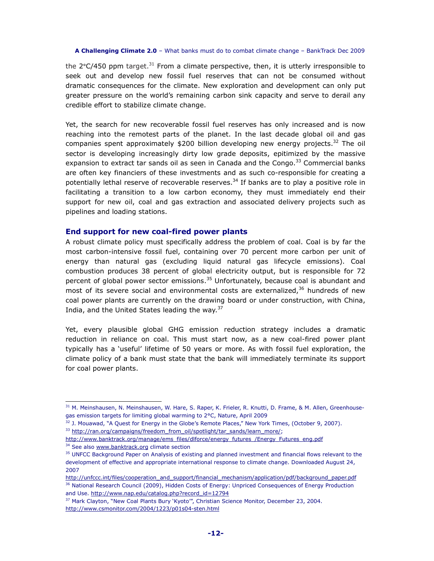the  $2^{\circ}$ C/450 ppm target.<sup>31</sup> From a climate perspective, then, it is utterly irresponsible to seek out and develop new fossil fuel reserves that can not be consumed without dramatic consequences for the climate. New exploration and development can only put greater pressure on the world's remaining carbon sink capacity and serve to derail any credible effort to stabilize climate change.

Yet, the search for new recoverable fossil fuel reserves has only increased and is now reaching into the remotest parts of the planet. In the last decade global oil and gas companies spent approximately  $$200$  billion developing new energy projects.<sup>32</sup> The oil sector is developing increasingly dirty low grade deposits, epitimized by the massive expansion to extract tar sands oil as seen in Canada and the Congo. $33$  Commercial banks are often key financiers of these investments and as such co-responsible for creating a potentially lethal reserve of recoverable reserves.<sup>34</sup> If banks are to play a positive role in facilitating a transition to a low carbon economy, they must immediately end their support for new oil, coal and gas extraction and associated delivery projects such as pipelines and loading stations.

## **End support for new coal-fired power plants**

 $\overline{a}$ 

A robust climate policy must specifically address the problem of coal. Coal is by far the most carbon-intensive fossil fuel, containing over 70 percent more carbon per unit of energy than natural gas (excluding liquid natural gas lifecycle emissions). Coal combustion produces 38 percent of global electricity output, but is responsible for 72 percent of global power sector emissions. $35$  Unfortunately, because coal is abundant and most of its severe social and environmental costs are externalized, $36$  hundreds of new coal power plants are currently on the drawing board or under construction, with China, India, and the United States leading the way. $37$ 

Yet, every plausible global GHG emission reduction strategy includes a dramatic reduction in reliance on coal. This must start now, as a new coal-fired power plant typically has a 'useful' lifetime of 50 years or more. As with fossil fuel exploration, the climate policy of a bank must state that the bank will immediately terminate its support for coal power plants.

http://www.banktrack.org/manage/ems\_files/dlforce/energy\_futures\_/Energy\_Futures\_eng.pdf <sup>34</sup> See also www.banktrack.org climate section

<sup>&</sup>lt;sup>31</sup> M. Meinshausen, N. Meinshausen, W. Hare, S. Raper, K. Frieler, R. Knutti, D. Frame, & M. Allen, Greenhousegas emission targets for limiting global warming to 2°C, Nature, April 2009

 $32$  J. Mouawad, "A Quest for Energy in the Globe's Remote Places," New York Times, (October 9, 2007). 33 http://ran.org/campaigns/freedom\_from\_oil/spotlight/tar\_sands/learn\_more/;

<sup>&</sup>lt;sup>35</sup> UNFCC Background Paper on Analysis of existing and planned investment and financial flows relevant to the development of effective and appropriate international response to climate change. Downloaded August 24, 2007

http://unfccc.int/files/cooperation\_and\_support/financial\_mechanism/application/pdf/background\_paper.pdf <sup>36</sup> National Research Council (2009), Hidden Costs of Energy: Unpriced Consequences of Energy Production and Use. http://www.nap.edu/catalog.php?record\_id=12794

<sup>&</sup>lt;sup>37</sup> Mark Clayton, "New Coal Plants Bury 'Kyoto'", Christian Science Monitor, December 23, 2004. http://www.csmonitor.com/2004/1223/p01s04-sten.html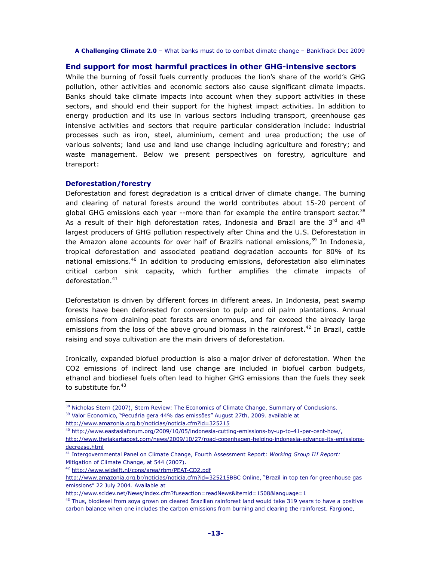## **End support for most harmful practices in other GHG-intensive sectors**

While the burning of fossil fuels currently produces the lion's share of the world's GHG pollution, other activities and economic sectors also cause significant climate impacts. Banks should take climate impacts into account when they support activities in these sectors, and should end their support for the highest impact activities. In addition to energy production and its use in various sectors including transport, greenhouse gas intensive activities and sectors that require particular consideration include: industrial processes such as iron, steel, aluminium, cement and urea production; the use of various solvents; land use and land use change including agriculture and forestry; and waste management. Below we present perspectives on forestry, agriculture and transport:

## **Deforestation/forestry**

 $\overline{a}$ 

Deforestation and forest degradation is a critical driver of climate change. The burning and clearing of natural forests around the world contributes about 15-20 percent of global GHG emissions each year  $-$ -more than for example the entire transport sector.<sup>38</sup> As a result of their high deforestation rates, Indonesia and Brazil are the  $3<sup>rd</sup>$  and  $4<sup>th</sup>$ largest producers of GHG pollution respectively after China and the U.S. Deforestation in the Amazon alone accounts for over half of Brazil's national emissions, $39$  In Indonesia, tropical deforestation and associated peatland degradation accounts for 80% of its national emissions.<sup>40</sup> In addition to producing emissions, deforestation also eliminates critical carbon sink capacity, which further amplifies the climate impacts of deforestation.<sup>41</sup>

Deforestation is driven by different forces in different areas. In Indonesia, peat swamp forests have been deforested for conversion to pulp and oil palm plantations. Annual emissions from draining peat forests are enormous, and far exceed the already large emissions from the loss of the above ground biomass in the rainforest.<sup>42</sup> In Brazil, cattle raising and soya cultivation are the main drivers of deforestation.

Ironically, expanded biofuel production is also a major driver of deforestation. When the CO2 emissions of indirect land use change are included in biofuel carbon budgets, ethanol and biodiesel fuels often lead to higher GHG emissions than the fuels they seek to substitute for.<sup>43</sup>

<sup>&</sup>lt;sup>38</sup> Nicholas Stern (2007), Stern Review: The Economics of Climate Change, Summary of Conclusions. <sup>39</sup> Valor Economico, "Pecuária gera 44% das emissões" August 27th, 2009. available at

http://www.amazonia.org.br/noticias/noticia.cfm?id=325215

<sup>40</sup> http://www.eastasiaforum.org/2009/10/05/indonesia-cutting-emissions-by-up-to-41-per-cent-how/, http://www.thejakartapost.com/news/2009/10/27/road-copenhagen-helping-indonesia-advance-its-emissionsdecrease.html

<sup>41</sup> Intergovernmental Panel on Climate Change, Fourth Assessment Report: *Working Group III Report:*  Mitigation of Climate Change, at 544 (2007).

<sup>42</sup> http://www.wldelft.nl/cons/area/rbm/PEAT-CO2.pdf

http://www.amazonia.org.br/noticias/noticia.cfm?id=325215BBC Online, "Brazil in top ten for greenhouse gas emissions" 22 July 2004. Available at

http://www.scidev.net/News/index.cfm?fuseaction=readNews&itemid=1508&language=1

<sup>&</sup>lt;sup>43</sup> Thus, biodiesel from soya grown on cleared Brazilian rainforest land would take 319 years to have a positive carbon balance when one includes the carbon emissions from burning and clearing the rainforest. Fargione,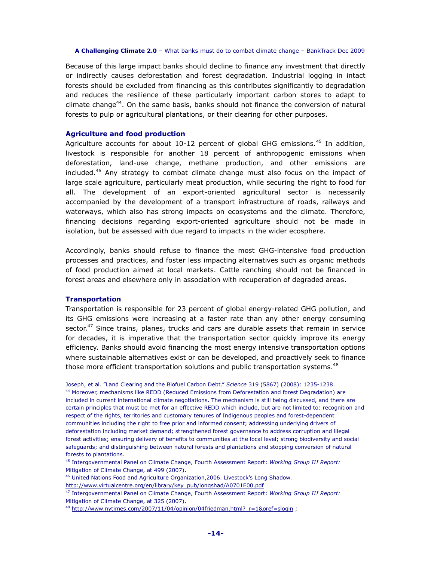Because of this large impact banks should decline to finance any investment that directly or indirectly causes deforestation and forest degradation. Industrial logging in intact forests should be excluded from financing as this contributes significantly to degradation and reduces the resilience of these particularly important carbon stores to adapt to climate change<sup>44</sup>. On the same basis, banks should not finance the conversion of natural forests to pulp or agricultural plantations, or their clearing for other purposes.

## **Agriculture and food production**

Agriculture accounts for about  $10-12$  percent of global GHG emissions.<sup>45</sup> In addition, livestock is responsible for another 18 percent of anthropogenic emissions when deforestation, land-use change, methane production, and other emissions are included.<sup>46</sup> Any strategy to combat climate change must also focus on the impact of large scale agriculture, particularly meat production, while securing the right to food for all. The development of an export-oriented agricultural sector is necessarily accompanied by the development of a transport infrastructure of roads, railways and waterways, which also has strong impacts on ecosystems and the climate. Therefore, financing decisions regarding export-oriented agriculture should not be made in isolation, but be assessed with due regard to impacts in the wider ecosphere.

Accordingly, banks should refuse to finance the most GHG-intensive food production processes and practices, and foster less impacting alternatives such as organic methods of food production aimed at local markets. Cattle ranching should not be financed in forest areas and elsewhere only in association with recuperation of degraded areas.

## **Transportation**

 $\overline{a}$ 

Transportation is responsible for 23 percent of global energy-related GHG pollution, and its GHG emissions were increasing at a faster rate than any other energy consuming sector.<sup>47</sup> Since trains, planes, trucks and cars are durable assets that remain in service for decades, it is imperative that the transportation sector quickly improve its energy efficiency. Banks should avoid financing the most energy intensive transportation options where sustainable alternatives exist or can be developed, and proactively seek to finance those more efficient transportation solutions and public transportation systems.<sup>48</sup>

Joseph, et al. "Land Clearing and the Biofuel Carbon Debt." *Science* 319 (5867) (2008): 1235-1238. <sup>44</sup> Moreover, mechanisms like REDD (Reduced Emissions from Deforestation and forest Degradation) are included in current international climate negotiations. The mechanism is still being discussed, and there are certain principles that must be met for an effective REDD which include, but are not limited to: recognition and respect of the rights, territories and customary tenures of Indigenous peoples and forest-dependent communities including the right to free prior and informed consent; addressing underlying drivers of deforestation including market demand; strengthened forest governance to address corruption and illegal forest activities; ensuring delivery of benefits to communities at the local level; strong biodiversity and social safeguards; and distinguishing between natural forests and plantations and stopping conversion of natural forests to plantations.

<sup>45</sup> Intergovernmental Panel on Climate Change, Fourth Assessment Report: *Working Group III Report:*  Mitigation of Climate Change, at 499 (2007).

<sup>46</sup> United Nations Food and Agriculture Organization,2006. Livestock's Long Shadow.

http://www.virtualcentre.org/en/library/key\_pub/longshad/A0701E00.pdf

<sup>47</sup> Intergovernmental Panel on Climate Change, Fourth Assessment Report: *Working Group III Report:*  Mitigation of Climate Change, at 325 (2007).

<sup>48</sup> http://www.nytimes.com/2007/11/04/opinion/04friedman.html? r=1&oref=slogin ;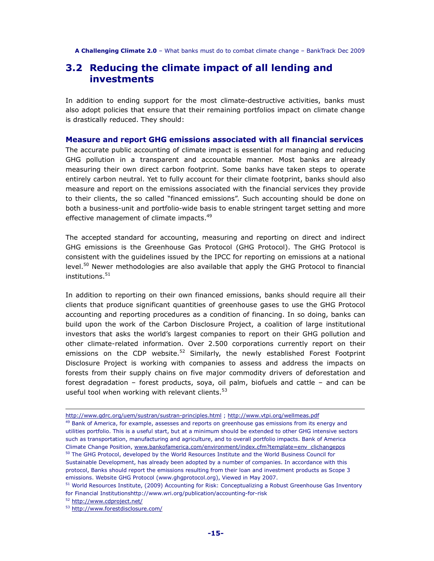## **3.2 Reducing the climate impact of all lending and investments**

In addition to ending support for the most climate-destructive activities, banks must also adopt policies that ensure that their remaining portfolios impact on climate change is drastically reduced. They should:

**Measure and report GHG emissions associated with all financial services** 

The accurate public accounting of climate impact is essential for managing and reducing GHG pollution in a transparent and accountable manner. Most banks are already measuring their own direct carbon footprint. Some banks have taken steps to operate entirely carbon neutral. Yet to fully account for their climate footprint, banks should also measure and report on the emissions associated with the financial services they provide to their clients, the so called "financed emissions". Such accounting should be done on both a business-unit and portfolio-wide basis to enable stringent target setting and more effective management of climate impacts.<sup>49</sup>

The accepted standard for accounting, measuring and reporting on direct and indirect GHG emissions is the Greenhouse Gas Protocol (GHG Protocol). The GHG Protocol is consistent with the guidelines issued by the IPCC for reporting on emissions at a national level.<sup>50</sup> Newer methodologies are also available that apply the GHG Protocol to financial  $in$ stitutions. $51$ 

In addition to reporting on their own financed emissions, banks should require all their clients that produce significant quantities of greenhouse gases to use the GHG Protocol accounting and reporting procedures as a condition of financing. In so doing, banks can build upon the work of the Carbon Disclosure Project, a coalition of large institutional investors that asks the world's largest companies to report on their GHG pollution and other climate-related information. Over 2.500 corporations currently report on their emissions on the CDP website.<sup>52</sup> Similarly, the newly established Forest Footprint Disclosure Project is working with companies to assess and address the impacts on forests from their supply chains on five major commodity drivers of deforestation and forest degradation – forest products, soya, oil palm, biofuels and cattle – and can be useful tool when working with relevant clients. $53$ 

http://www.gdrc.org/uem/sustran/sustran-principles.html ; http://www.vtpi.org/wellmeas.pdf

<sup>&</sup>lt;sup>49</sup> Bank of America, for example, assesses and reports on greenhouse gas emissions from its energy and utilities portfolio. This is a useful start, but at a minimum should be extended to other GHG intensive sectors such as transportation, manufacturing and agriculture, and to overall portfolio impacts. Bank of America Climate Change Position, www.bankofamerica.com/environment/index.cfm?template=env\_clichangepos <sup>50</sup> The GHG Protocol, developed by the World Resources Institute and the World Business Council for Sustainable Development, has already been adopted by a number of companies. In accordance with this protocol, Banks should report the emissions resulting from their loan and investment products as Scope 3 emissions. Website GHG Protocol (www.ghgprotocol.org), Viewed in May 2007.

<sup>&</sup>lt;sup>51</sup> World Resources Institute, (2009) Accounting for Risk: Conceptualizing a Robust Greenhouse Gas Inventory for Financial Institutionshttp://www.wri.org/publication/accounting-for-risk

<sup>52</sup> http://www.cdproject.net/

<sup>53</sup> http://www.forestdisclosure.com/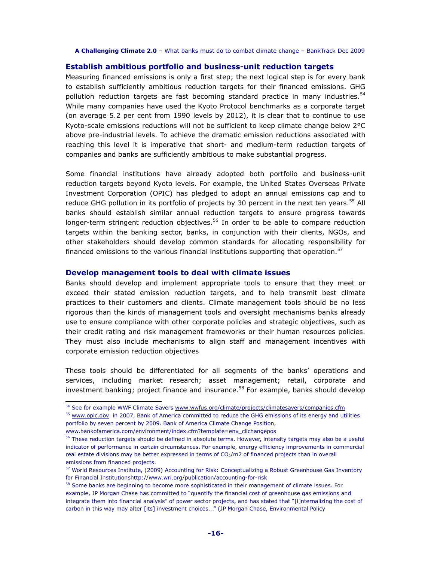## **Establish ambitious portfolio and business-unit reduction targets**

Measuring financed emissions is only a first step; the next logical step is for every bank to establish sufficiently ambitious reduction targets for their financed emissions. GHG pollution reduction targets are fast becoming standard practice in many industries.<sup>54</sup> While many companies have used the Kyoto Protocol benchmarks as a corporate target (on average 5.2 per cent from 1990 levels by 2012), it is clear that to continue to use Kyoto-scale emissions reductions will not be sufficient to keep climate change below 2°C above pre-industrial levels. To achieve the dramatic emission reductions associated with reaching this level it is imperative that short- and medium-term reduction targets of companies and banks are sufficiently ambitious to make substantial progress.

Some financial institutions have already adopted both portfolio and business-unit reduction targets beyond Kyoto levels. For example, the United States Overseas Private Investment Corporation (OPIC) has pledged to adopt an annual emissions cap and to reduce GHG pollution in its portfolio of projects by 30 percent in the next ten years.<sup>55</sup> All banks should establish similar annual reduction targets to ensure progress towards longer-term stringent reduction objectives.<sup>56</sup> In order to be able to compare reduction targets within the banking sector, banks, in conjunction with their clients, NGOs, and other stakeholders should develop common standards for allocating responsibility for financed emissions to the various financial institutions supporting that operation. $57$ 

## **Develop management tools to deal with climate issues**

Banks should develop and implement appropriate tools to ensure that they meet or exceed their stated emission reduction targets, and to help transmit best climate practices to their customers and clients. Climate management tools should be no less rigorous than the kinds of management tools and oversight mechanisms banks already use to ensure compliance with other corporate policies and strategic objectives, such as their credit rating and risk management frameworks or their human resources policies. They must also include mechanisms to align staff and management incentives with corporate emission reduction objectives

These tools should be differentiated for all segments of the banks' operations and services, including market research; asset management; retail, corporate and investment banking; project finance and insurance.<sup>58</sup> For example, banks should develop

<sup>54</sup> See for example WWF Climate Savers www.wwfus.org/climate/projects/climatesavers/companies.cfm

<sup>&</sup>lt;sup>55</sup> www.opic.gov. in 2007, Bank of America committed to reduce the GHG emissions of its energy and utilities portfolio by seven percent by 2009. Bank of America Climate Change Position,

www.bankofamerica.com/environment/index.cfm?template=env\_clichangepos

<sup>&</sup>lt;sup>56</sup> These reduction targets should be defined in absolute terms. However, intensity targets may also be a useful indicator of performance in certain circumstances. For example, energy efficiency improvements in commercial real estate divisions may be better expressed in terms of CO<sub>2</sub>/m2 of financed projects than in overall emissions from financed projects.

<sup>&</sup>lt;sup>57</sup> World Resources Institute, (2009) Accounting for Risk: Conceptualizing a Robust Greenhouse Gas Inventory for Financial Institutionshttp://www.wri.org/publication/accounting-for-risk

<sup>&</sup>lt;sup>58</sup> Some banks are beginning to become more sophisticated in their management of climate issues. For example, JP Morgan Chase has committed to "quantify the financial cost of greenhouse gas emissions and integrate them into financial analysis" of power sector projects, and has stated that "[i]nternalizing the cost of carbon in this way may alter [its] investment choices..." (JP Morgan Chase, Environmental Policy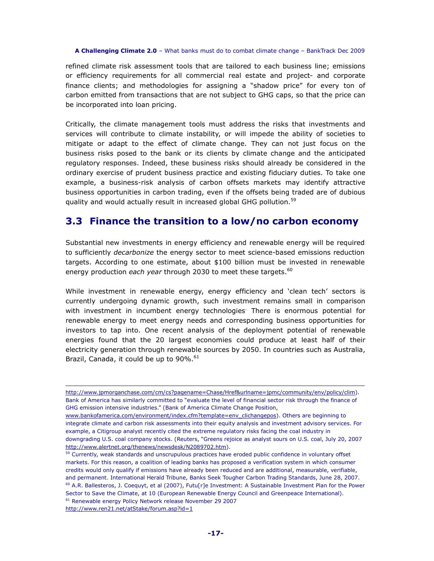refined climate risk assessment tools that are tailored to each business line; emissions or efficiency requirements for all commercial real estate and project- and corporate finance clients; and methodologies for assigning a "shadow price" for every ton of carbon emitted from transactions that are not subject to GHG caps, so that the price can be incorporated into loan pricing.

Critically, the climate management tools must address the risks that investments and services will contribute to climate instability, or will impede the ability of societies to mitigate or adapt to the effect of climate change. They can not just focus on the business risks posed to the bank or its clients by climate change and the anticipated regulatory responses. Indeed, these business risks should already be considered in the ordinary exercise of prudent business practice and existing fiduciary duties. To take one example, a business-risk analysis of carbon offsets markets may identify attractive business opportunities in carbon trading, even if the offsets being traded are of dubious quality and would actually result in increased global GHG pollution.<sup>59</sup>

## **3.3 Finance the transition to a low/no carbon economy**

Substantial new investments in energy efficiency and renewable energy will be required to sufficiently *decarbonize* the energy sector to meet science-based emissions reduction targets. According to one estimate, about \$100 billion must be invested in renewable energy production *each year* through 2030 to meet these targets.<sup>60</sup>

While investment in renewable energy, energy efficiency and 'clean tech' sectors is currently undergoing dynamic growth, such investment remains small in comparison with investment in incumbent energy technologies<sup>.</sup> There is enormous potential for renewable energy to meet energy needs and corresponding business opportunities for investors to tap into. One recent analysis of the deployment potential of renewable energies found that the 20 largest economies could produce at least half of their electricity generation through renewable sources by 2050. In countries such as Australia, Brazil, Canada, it could be up to  $90\%$ .<sup>61</sup>

http://www.ren21.net/atStake/forum.asp?id=1

http://www.jpmorganchase.com/cm/cs?pagename=Chase/Href&urlname=jpmc/community/env/policy/clim). Bank of America has similarly committed to "evaluate the level of financial sector risk through the finance of GHG emission intensive industries." (Bank of America Climate Change Position,

www.bankofamerica.com/environment/index.cfm?template=env\_clichangepos). Others are beginning to integrate climate and carbon risk assessments into their equity analysis and investment advisory services. For example, a Citigroup analyst recently cited the extreme regulatory risks facing the coal industry in downgrading U.S. coal company stocks. (Reuters, "Greens rejoice as analyst sours on U.S. coal, July 20, 2007 http://www.alertnet.org/thenews/newsdesk/N2089702.htm).

<sup>&</sup>lt;sup>59</sup> Currently, weak standards and unscrupulous practices have eroded public confidence in voluntary offset markets. For this reason, a coalition of leading banks has proposed a verification system in which consumer credits would only qualify if emissions have already been reduced and are additional, measurable, verifiable, and permanent. International Herald Tribune, Banks Seek Tougher Carbon Trading Standards, June 28, 2007. <sup>60</sup> A.R. Ballesteros, J. Coequyt, et al (2007), Futu[r]e Investment: A Sustainable Investment Plan for the Power Sector to Save the Climate, at 10 (European Renewable Energy Council and Greenpeace International). <sup>61</sup> Renewable energy Policy Network release November 29 2007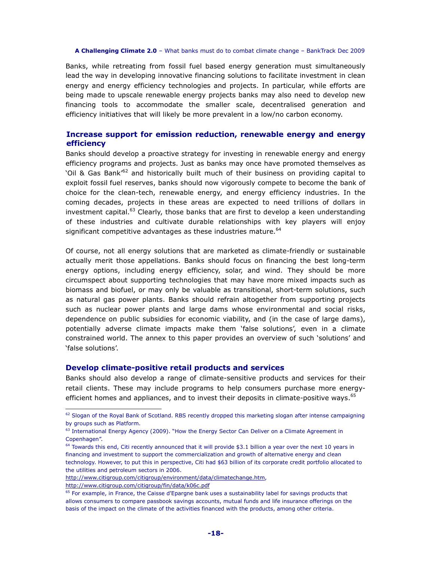Banks, while retreating from fossil fuel based energy generation must simultaneously lead the way in developing innovative financing solutions to facilitate investment in clean energy and energy efficiency technologies and projects. In particular, while efforts are being made to upscale renewable energy projects banks may also need to develop new financing tools to accommodate the smaller scale, decentralised generation and efficiency initiatives that will likely be more prevalent in a low/no carbon economy.

## **Increase support for emission reduction, renewable energy and energy efficiency**

Banks should develop a proactive strategy for investing in renewable energy and energy efficiency programs and projects. Just as banks may once have promoted themselves as 'Oil & Gas Bank<sup>'62</sup> and historically built much of their business on providing capital to exploit fossil fuel reserves, banks should now vigorously compete to become the bank of choice for the clean-tech, renewable energy, and energy efficiency industries. In the coming decades, projects in these areas are expected to need trillions of dollars in investment capital.<sup>63</sup> Clearly, those banks that are first to develop a keen understanding of these industries and cultivate durable relationships with key players will enjoy significant competitive advantages as these industries mature.<sup>64</sup>

Of course, not all energy solutions that are marketed as climate-friendly or sustainable actually merit those appellations. Banks should focus on financing the best long-term energy options, including energy efficiency, solar, and wind. They should be more circumspect about supporting technologies that may have more mixed impacts such as biomass and biofuel, or may only be valuable as transitional, short-term solutions, such as natural gas power plants. Banks should refrain altogether from supporting projects such as nuclear power plants and large dams whose environmental and social risks, dependence on public subsidies for economic viability, and (in the case of large dams), potentially adverse climate impacts make them 'false solutions', even in a climate constrained world. The annex to this paper provides an overview of such 'solutions' and 'false solutions'.

## **Develop climate-positive retail products and services**

Banks should also develop a range of climate-sensitive products and services for their retail clients. These may include programs to help consumers purchase more energyefficient homes and appliances, and to invest their deposits in climate-positive ways.<sup>65</sup>

http://www.citigroup.com/citigroup/fin/data/k06c.pdf

 $62$  Slogan of the Royal Bank of Scotland. RBS recently dropped this marketing slogan after intense campaigning by groups such as Platform.

<sup>&</sup>lt;sup>63</sup> International Energy Agency (2009). "How the Energy Sector Can Deliver on a Climate Agreement in Copenhagen".

 $64$  Towards this end, Citi recently announced that it will provide \$3.1 billion a year over the next 10 years in financing and investment to support the commercialization and growth of alternative energy and clean technology. However, to put this in perspective, Citi had \$63 billion of its corporate credit portfolio allocated to the utilities and petroleum sectors in 2006.

http://www.citigroup.com/citigroup/environment/data/climatechange.htm,

<sup>&</sup>lt;sup>65</sup> For example, in France, the Caisse d'Epargne bank uses a sustainability label for savings products that allows consumers to compare passbook savings accounts, mutual funds and life insurance offerings on the basis of the impact on the climate of the activities financed with the products, among other criteria.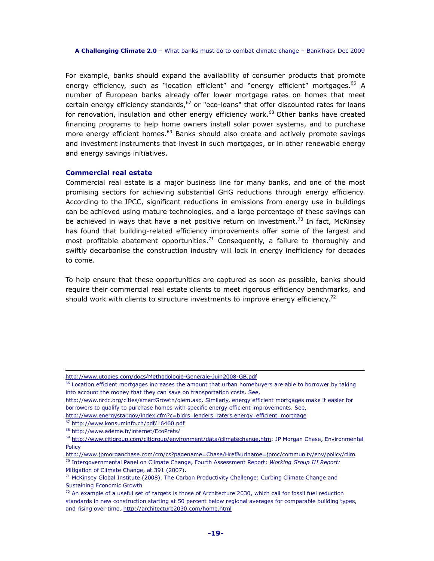For example, banks should expand the availability of consumer products that promote energy efficiency, such as "location efficient" and "energy efficient" mortgages.<sup>66</sup> A number of European banks already offer lower mortgage rates on homes that meet certain energy efficiency standards, $67$  or "eco-loans" that offer discounted rates for loans for renovation, insulation and other energy efficiency work.<sup>68</sup> Other banks have created financing programs to help home owners install solar power systems, and to purchase more energy efficient homes.<sup>69</sup> Banks should also create and actively promote savings and investment instruments that invest in such mortgages, or in other renewable energy and energy savings initiatives.

## **Commercial real estate**

Commercial real estate is a major business line for many banks, and one of the most promising sectors for achieving substantial GHG reductions through energy efficiency. According to the IPCC, significant reductions in emissions from energy use in buildings can be achieved using mature technologies, and a large percentage of these savings can be achieved in ways that have a net positive return on investment.<sup>70</sup> In fact, McKinsey has found that building-related efficiency improvements offer some of the largest and most profitable abatement opportunities.<sup>71</sup> Consequently, a failure to thoroughly and swiftly decarbonise the construction industry will lock in energy inefficiency for decades to come.

To help ensure that these opportunities are captured as soon as possible, banks should require their commercial real estate clients to meet rigorous efficiency benchmarks, and should work with clients to structure investments to improve energy efficiency.<sup>72</sup>

http://www.utopies.com/docs/Methodologie-Generale-Juin2008-GB.pdf

<sup>&</sup>lt;sup>66</sup> Location efficient mortgages increases the amount that urban homebuyers are able to borrower by taking into account the money that they can save on transportation costs. See,

http://www.nrdc.org/cities/smartGrowth/qlem.asp. Similarly, energy efficient mortgages make it easier for borrowers to qualify to purchase homes with specific energy efficient improvements. See,

http://www.energystar.gov/index.cfm?c=bldrs\_lenders\_raters.energy\_efficient\_mortgage <sup>67</sup> http://www.konsuminfo.ch/pdf/16460.pdf

<sup>68</sup> http://www.ademe.fr/internet/EcoPrets/

<sup>69</sup> http://www.citigroup.com/citigroup/environment/data/climatechange.htm; JP Morgan Chase, Environmental Policy

http://www.jpmorganchase.com/cm/cs?pagename=Chase/Href&urlname=jpmc/community/env/policy/clim <sup>70</sup> Intergovernmental Panel on Climate Change, Fourth Assessment Report: *Working Group III Report:*  Mitigation of Climate Change, at 391 (2007).

 $71$  McKinsey Global Institute (2008). The Carbon Productivity Challenge: Curbing Climate Change and Sustaining Economic Growth

 $72$  An example of a useful set of targets is those of Architecture 2030, which call for fossil fuel reduction standards in new construction starting at 50 percent below regional averages for comparable building types, and rising over time. http://architecture2030.com/home.html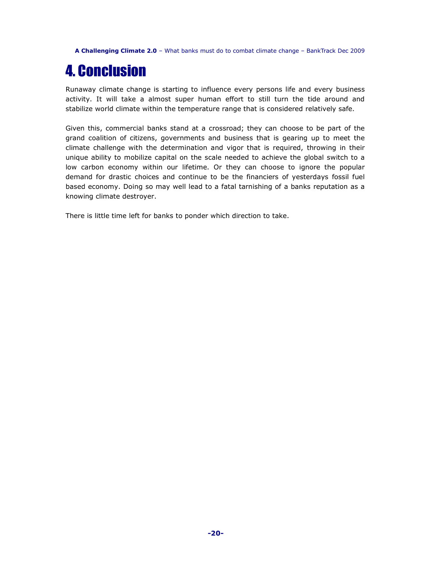## 4. Conclusion

Runaway climate change is starting to influence every persons life and every business activity. It will take a almost super human effort to still turn the tide around and stabilize world climate within the temperature range that is considered relatively safe.

Given this, commercial banks stand at a crossroad; they can choose to be part of the grand coalition of citizens, governments and business that is gearing up to meet the climate challenge with the determination and vigor that is required, throwing in their unique ability to mobilize capital on the scale needed to achieve the global switch to a low carbon economy within our lifetime. Or they can choose to ignore the popular demand for drastic choices and continue to be the financiers of yesterdays fossil fuel based economy. Doing so may well lead to a fatal tarnishing of a banks reputation as a knowing climate destroyer.

There is little time left for banks to ponder which direction to take.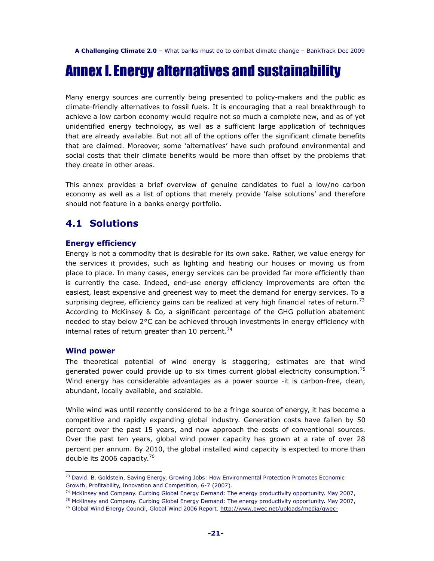## Annex I. Energy alternatives and sustainability

Many energy sources are currently being presented to policy-makers and the public as climate-friendly alternatives to fossil fuels. It is encouraging that a real breakthrough to achieve a low carbon economy would require not so much a complete new, and as of yet unidentified energy technology, as well as a sufficient large application of techniques that are already available. But not all of the options offer the significant climate benefits that are claimed. Moreover, some 'alternatives' have such profound environmental and social costs that their climate benefits would be more than offset by the problems that they create in other areas.

This annex provides a brief overview of genuine candidates to fuel a low/no carbon economy as well as a list of options that merely provide 'false solutions' and therefore should not feature in a banks energy portfolio.

## **4.1 Solutions**

## **Energy efficiency**

Energy is not a commodity that is desirable for its own sake. Rather, we value energy for the services it provides, such as lighting and heating our houses or moving us from place to place. In many cases, energy services can be provided far more efficiently than is currently the case. Indeed, end-use energy efficiency improvements are often the easiest, least expensive and greenest way to meet the demand for energy services. To a surprising degree, efficiency gains can be realized at very high financial rates of return.<sup>73</sup> According to McKinsey & Co, a significant percentage of the GHG pollution abatement needed to stay below 2°C can be achieved through investments in energy efficiency with internal rates of return greater than 10 percent.<sup>74</sup>

## **Wind power**

 $\overline{a}$ 

The theoretical potential of wind energy is staggering; estimates are that wind generated power could provide up to six times current global electricity consumption.<sup>75</sup> Wind energy has considerable advantages as a power source -it is carbon-free, clean, abundant, locally available, and scalable.

While wind was until recently considered to be a fringe source of energy, it has become a competitive and rapidly expanding global industry. Generation costs have fallen by 50 percent over the past 15 years, and now approach the costs of conventional sources. Over the past ten years, global wind power capacity has grown at a rate of over 28 percent per annum. By 2010, the global installed wind capacity is expected to more than double its 2006 capacity.<sup>76</sup>

<sup>&</sup>lt;sup>73</sup> David. B. Goldstein, Saving Energy, Growing Jobs: How Environmental Protection Promotes Economic Growth, Profitability, Innovation and Competition, 6-7 (2007).

<sup>&</sup>lt;sup>74</sup> McKinsey and Company. Curbing Global Energy Demand: The energy productivity opportunity. May 2007,

<sup>&</sup>lt;sup>75</sup> McKinsey and Company. Curbing Global Energy Demand: The energy productivity opportunity. May 2007,

<sup>&</sup>lt;sup>76</sup> Global Wind Energy Council, Global Wind 2006 Report. http://www.gwec.net/uploads/media/gwec-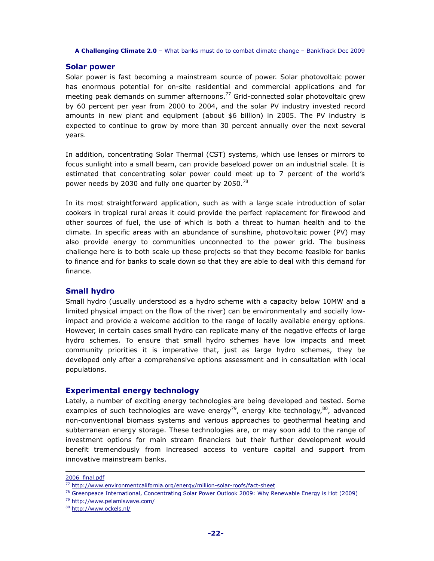## **Solar power**

Solar power is fast becoming a mainstream source of power. Solar photovoltaic power has enormous potential for on-site residential and commercial applications and for meeting peak demands on summer afternoons.<sup>77</sup> Grid-connected solar photovoltaic grew by 60 percent per year from 2000 to 2004, and the solar PV industry invested record amounts in new plant and equipment (about \$6 billion) in 2005. The PV industry is expected to continue to grow by more than 30 percent annually over the next several years.

In addition, concentrating Solar Thermal (CST) systems, which use lenses or mirrors to focus sunlight into a small beam, can provide baseload power on an industrial scale. It is estimated that concentrating solar power could meet up to 7 percent of the world's power needs by 2030 and fully one quarter by 2050.<sup>78</sup>

In its most straightforward application, such as with a large scale introduction of solar cookers in tropical rural areas it could provide the perfect replacement for firewood and other sources of fuel, the use of which is both a threat to human health and to the climate. In specific areas with an abundance of sunshine, photovoltaic power (PV) may also provide energy to communities unconnected to the power grid. The business challenge here is to both scale up these projects so that they become feasible for banks to finance and for banks to scale down so that they are able to deal with this demand for finance.

## **Small hydro**

Small hydro (usually understood as a hydro scheme with a capacity below 10MW and a limited physical impact on the flow of the river) can be environmentally and socially lowimpact and provide a welcome addition to the range of locally available energy options. However, in certain cases small hydro can replicate many of the negative effects of large hydro schemes. To ensure that small hydro schemes have low impacts and meet community priorities it is imperative that, just as large hydro schemes, they be developed only after a comprehensive options assessment and in consultation with local populations.

## **Experimental energy technology**

Lately, a number of exciting energy technologies are being developed and tested. Some examples of such technologies are wave energy<sup>79</sup>, energy kite technology,  $80$ , advanced non-conventional biomass systems and various approaches to geothermal heating and subterranean energy storage. These technologies are, or may soon add to the range of investment options for main stream financiers but their further development would benefit tremendously from increased access to venture capital and support from innovative mainstream banks.

<sup>2006</sup>\_final.pdf

<sup>77</sup> http://www.environmentcalifornia.org/energy/million-solar-roofs/fact-sheet

 $78$  Greenpeace International, Concentrating Solar Power Outlook 2009: Why Renewable Energy is Hot (2009)

<sup>79</sup> http://www.pelamiswave.com/

<sup>80</sup> http://www.ockels.nl/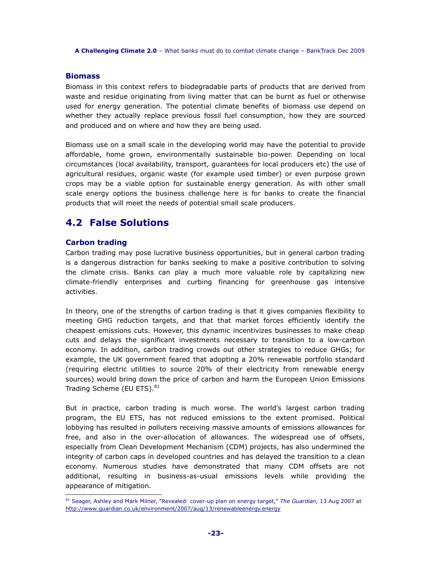## **Biomass**

Biomass in this context refers to biodegradable parts of products that are derived from waste and residue originating from living matter that can be burnt as fuel or otherwise used for energy generation. The potential climate benefits of biomass use depend on whether they actually replace previous fossil fuel consumption, how they are sourced and produced and on where and how they are being used.

Biomass use on a small scale in the developing world may have the potential to provide affordable, home grown, environmentally sustainable bio-power. Depending on local circumstances (local availability, transport, guarantees for local producers etc) the use of agricultural residues, organic waste (for example used timber) or even purpose grown crops may be a viable option for sustainable energy generation. As with other small scale energy options the business challenge here is for banks to create the financial products that will meet the needs of potential small scale producers.

## **4.2 False Solutions**

## **Carbon trading**

Carbon trading may pose lucrative business opportunities, but in general carbon trading is a dangerous distraction for banks seeking to make a positive contribution to solving the climate crisis. Banks can play a much more valuable role by capitalizing new climate-friendly enterprises and curbing financing for greenhouse gas intensive activities.

In theory, one of the strengths of carbon trading is that it gives companies flexibility to meeting GHG reduction targets, and that that market forces efficiently identify the cheapest emissions cuts. However, this dynamic incentivizes businesses to make cheap cuts and delays the significant investments necessary to transition to a low-carbon economy. In addition, carbon trading crowds out other strategies to reduce GHGs; for example, the UK government feared that adopting a 20% renewable portfolio standard (requiring electric utilities to source 20% of their electricity from renewable energy sources) would bring down the price of carbon and harm the European Union Emissions Trading Scheme (EU ETS).<sup>81</sup>

But in practice, carbon trading is much worse. The world's largest carbon trading program, the EU ETS, has not reduced emissions to the extent promised. Political lobbying has resulted in polluters receiving massive amounts of emissions allowances for free, and also in the over-allocation of allowances. The widespread use of offsets, especially from Clean Development Mechanism (CDM) projects, has also undermined the integrity of carbon caps in developed countries and has delayed the transition to a clean economy. Numerous studies have demonstrated that many CDM offsets are not additional, resulting in business-as-usual emissions levels while providing the appearance of mitigation.  $\overline{a}$ 

<sup>81</sup> Seager, Ashley and Mark Milner, "Revealed: cover-up plan on energy target," *The Guardian,* 13 Aug 2007 at http://www.guardian.co.uk/environment/2007/aug/13/renewableenergy.energy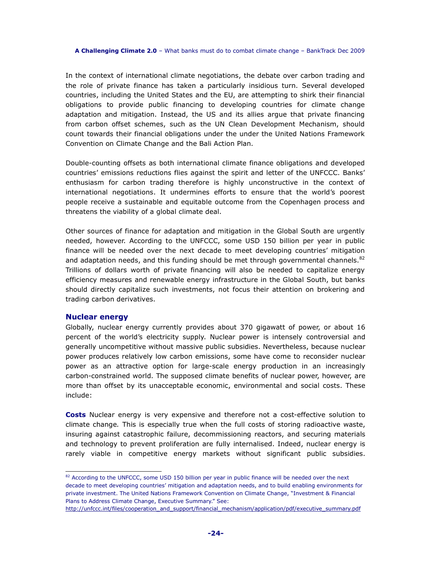In the context of international climate negotiations, the debate over carbon trading and the role of private finance has taken a particularly insidious turn. Several developed countries, including the United States and the EU, are attempting to shirk their financial obligations to provide public financing to developing countries for climate change adaptation and mitigation. Instead, the US and its allies argue that private financing from carbon offset schemes, such as the UN Clean Development Mechanism, should count towards their financial obligations under the under the United Nations Framework Convention on Climate Change and the Bali Action Plan.

Double-counting offsets as both international climate finance obligations and developed countries' emissions reductions flies against the spirit and letter of the UNFCCC. Banks' enthusiasm for carbon trading therefore is highly unconstructive in the context of international negotiations. It undermines efforts to ensure that the world's poorest people receive a sustainable and equitable outcome from the Copenhagen process and threatens the viability of a global climate deal.

Other sources of finance for adaptation and mitigation in the Global South are urgently needed, however. According to the UNFCCC, some USD 150 billion per year in public finance will be needed over the next decade to meet developing countries' mitigation and adaptation needs, and this funding should be met through governmental channels. $82$ Trillions of dollars worth of private financing will also be needed to capitalize energy efficiency measures and renewable energy infrastructure in the Global South, but banks should directly capitalize such investments, not focus their attention on brokering and trading carbon derivatives.

## **Nuclear energy**

 $\overline{a}$ 

Globally, nuclear energy currently provides about 370 gigawatt of power, or about 16 percent of the world's electricity supply. Nuclear power is intensely controversial and generally uncompetitive without massive public subsidies. Nevertheless, because nuclear power produces relatively low carbon emissions, some have come to reconsider nuclear power as an attractive option for large-scale energy production in an increasingly carbon-constrained world. The supposed climate benefits of nuclear power, however, are more than offset by its unacceptable economic, environmental and social costs. These include:

**Costs** Nuclear energy is very expensive and therefore not a cost-effective solution to climate change*.* This is especially true when the full costs of storing radioactive waste, insuring against catastrophic failure, decommissioning reactors, and securing materials and technology to prevent proliferation are fully internalised. Indeed, nuclear energy is rarely viable in competitive energy markets without significant public subsidies.

<sup>82</sup> According to the UNFCCC, some USD 150 billion per year in public finance will be needed over the next decade to meet developing countries' mitigation and adaptation needs, and to build enabling environments for private investment. The United Nations Framework Convention on Climate Change, "Investment & Financial Plans to Address Climate Change, Executive Summary." See:

http://unfccc.int/files/cooperation\_and\_support/financial\_mechanism/application/pdf/executive\_summary.pdf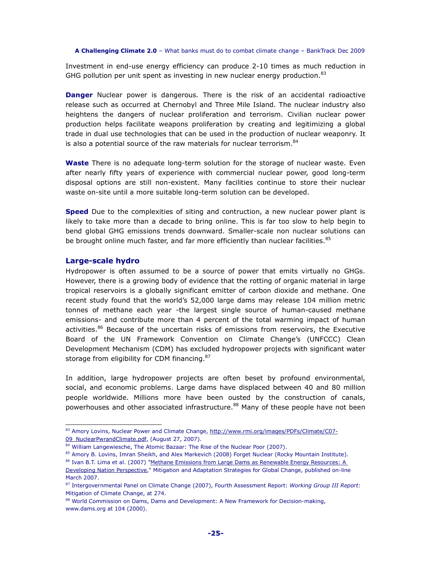Investment in end-use energy efficiency can produce 2-10 times as much reduction in GHG pollution per unit spent as investing in new nuclear energy production. $83$ 

**Danger** Nuclear power is dangerous*.* There is the risk of an accidental radioactive release such as occurred at Chernobyl and Three Mile Island. The nuclear industry also heightens the dangers of nuclear proliferation and terrorism. Civilian nuclear power production helps facilitate weapons proliferation by creating and legitimizing a global trade in dual use technologies that can be used in the production of nuclear weaponry. It is also a potential source of the raw materials for nuclear terrorism.<sup>84</sup>

**Waste** There is no adequate long-term solution for the storage of nuclear waste. Even after nearly fifty years of experience with commercial nuclear power, good long-term disposal options are still non-existent. Many facilities continue to store their nuclear waste on-site until a more suitable long-term solution can be developed.

**Speed** Due to the complexities of siting and contruction, a new nuclear power plant is likely to take more than a decade to bring online. This is far too slow to help begin to bend global GHG emissions trends downward. Smaller-scale non nuclear solutions can be brought online much faster, and far more efficiently than nuclear facilities.<sup>85</sup>

## **Large-scale hydro**

 $\overline{a}$ 

Hydropower is often assumed to be a source of power that emits virtually no GHGs. However, there is a growing body of evidence that the rotting of organic material in large tropical reservoirs is a globally significant emitter of carbon dioxide and methane. One recent study found that the world's 52,000 large dams may release 104 million metric tonnes of methane each year -the largest single source of human-caused methane emissions- and contribute more than 4 percent of the total warming impact of human activities.<sup>86</sup> Because of the uncertain risks of emissions from reservoirs, the Executive Board of the UN Framework Convention on Climate Change's (UNFCCC) Clean Development Mechanism (CDM) has excluded hydropower projects with significant water storage from eligibility for CDM financing.<sup>87</sup>

In addition, large hydropower projects are often beset by profound environmental, social, and economic problems. Large dams have displaced between 40 and 80 million people worldwide. Millions more have been ousted by the construction of canals, powerhouses and other associated infrastructure.<sup>88</sup> Many of these people have not been

<sup>83</sup> Amory Lovins, Nuclear Power and Climate Change, http://www.rmi.org/images/PDFs/Climate/C07-09\_NuclearPwrandClimate.pdf, (August 27, 2007).

<sup>84</sup> William Langewiesche, The Atomic Bazaar: The Rise of the Nuclear Poor (2007).

<sup>85</sup> Amory B. Lovins, Imran Sheikh, and Alex Markevich (2008) Forget Nuclear (Rocky Mountain Institute).

<sup>86</sup> Ivan B.T. Lima et al. (2007) "Methane Emissions from Large Dams as Renewable Energy Resources: A Developing Nation Perspective," Mitigation and Adaptation Strategies for Global Change, published on-line

March 2007.

<sup>87</sup> Intergovernmental Panel on Climate Change (2007), Fourth Assessment Report: *Working Group III Report:*  Mitigation of Climate Change, at 274.

<sup>88</sup> World Commission on Dams, Dams and Development: A New Framework for Decision-making, www.dams.org at 104 (2000).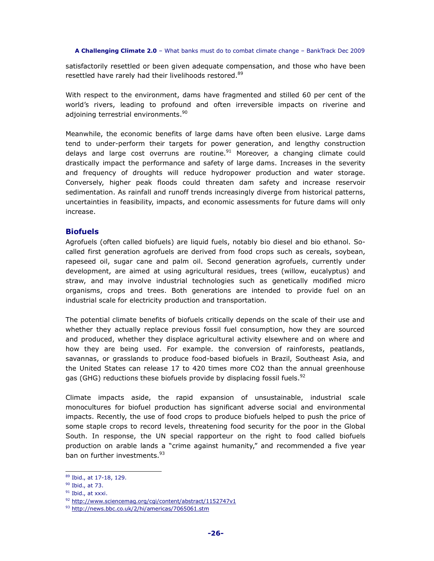satisfactorily resettled or been given adequate compensation, and those who have been resettled have rarely had their livelihoods restored.<sup>89</sup>

With respect to the environment, dams have fragmented and stilled 60 per cent of the world's rivers, leading to profound and often irreversible impacts on riverine and adjoining terrestrial environments.<sup>90</sup>

Meanwhile, the economic benefits of large dams have often been elusive. Large dams tend to under-perform their targets for power generation, and lengthy construction delays and large cost overruns are routine. $91$  Moreover, a changing climate could drastically impact the performance and safety of large dams. Increases in the severity and frequency of droughts will reduce hydropower production and water storage. Conversely, higher peak floods could threaten dam safety and increase reservoir sedimentation. As rainfall and runoff trends increasingly diverge from historical patterns, uncertainties in feasibility, impacts, and economic assessments for future dams will only increase.

## **Biofuels**

Agrofuels (often called biofuels) are liquid fuels, notably bio diesel and bio ethanol. Socalled first generation agrofuels are derived from food crops such as cereals, soybean, rapeseed oil, sugar cane and palm oil. Second generation agrofuels, currently under development, are aimed at using agricultural residues, trees (willow, eucalyptus) and straw, and may involve industrial technologies such as genetically modified micro organisms, crops and trees. Both generations are intended to provide fuel on an industrial scale for electricity production and transportation.

The potential climate benefits of biofuels critically depends on the scale of their use and whether they actually replace previous fossil fuel consumption, how they are sourced and produced, whether they displace agricultural activity elsewhere and on where and how they are being used. For example. the conversion of rainforests, peatlands, savannas, or grasslands to produce food-based biofuels in Brazil, Southeast Asia, and the United States can release 17 to 420 times more CO2 than the annual greenhouse gas (GHG) reductions these biofuels provide by displacing fossil fuels.  $92$ 

Climate impacts aside, the rapid expansion of unsustainable, industrial scale monocultures for biofuel production has significant adverse social and environmental impacts. Recently, the use of food crops to produce biofuels helped to push the price of some staple crops to record levels, threatening food security for the poor in the Global South. In response, the UN special rapporteur on the right to food called biofuels production on arable lands a "crime against humanity," and recommended a five year ban on further investments.<sup>93</sup>

<sup>89</sup> Ibid., at 17-18, 129.

<sup>90</sup> Ibid., at 73.

<sup>&</sup>lt;sup>91</sup> Ibid., at xxxi.

<sup>92</sup> http://www.sciencemag.org/cgi/content/abstract/1152747v1

<sup>93</sup> http://news.bbc.co.uk/2/hi/americas/7065061.stm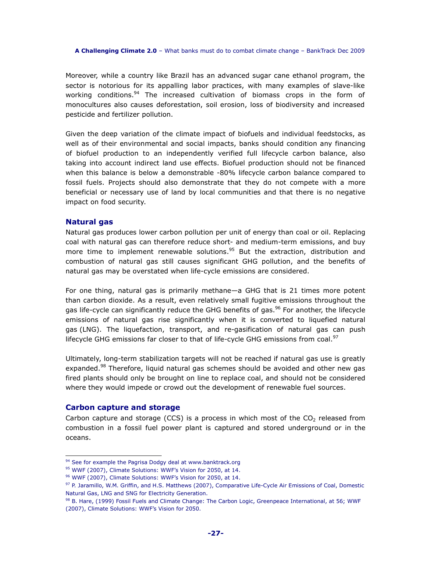Moreover, while a country like Brazil has an advanced sugar cane ethanol program, the sector is notorious for its appalling labor practices, with many examples of slave-like working conditions.<sup>94</sup> The increased cultivation of biomass crops in the form of monocultures also causes deforestation, soil erosion, loss of biodiversity and increased pesticide and fertilizer pollution.

Given the deep variation of the climate impact of biofuels and individual feedstocks, as well as of their environmental and social impacts, banks should condition any financing of biofuel production to an independently verified full lifecycle carbon balance, also taking into account indirect land use effects. Biofuel production should not be financed when this balance is below a demonstrable -80% lifecycle carbon balance compared to fossil fuels. Projects should also demonstrate that they do not compete with a more beneficial or necessary use of land by local communities and that there is no negative impact on food security.

## **Natural gas**

Natural gas produces lower carbon pollution per unit of energy than coal or oil. Replacing coal with natural gas can therefore reduce short- and medium-term emissions, and buy more time to implement renewable solutions.<sup>95</sup> But the extraction, distribution and combustion of natural gas still causes significant GHG pollution, and the benefits of natural gas may be overstated when life-cycle emissions are considered.

For one thing, natural gas is primarily methane—a GHG that is 21 times more potent than carbon dioxide. As a result, even relatively small fugitive emissions throughout the gas life-cycle can significantly reduce the GHG benefits of gas.<sup>96</sup> For another, the lifecycle emissions of natural gas rise significantly when it is converted to liquefied natural gas (LNG). The liquefaction, transport, and re-gasification of natural gas can push lifecycle GHG emissions far closer to that of life-cycle GHG emissions from coal. $97$ 

Ultimately, long-term stabilization targets will not be reached if natural gas use is greatly expanded.<sup>98</sup> Therefore, liquid natural gas schemes should be avoided and other new gas fired plants should only be brought on line to replace coal, and should not be considered where they would impede or crowd out the development of renewable fuel sources.

## **Carbon capture and storage**

 $\overline{a}$ 

Carbon capture and storage (CCS) is a process in which most of the  $CO<sub>2</sub>$  released from combustion in a fossil fuel power plant is captured and stored underground or in the oceans.

<sup>&</sup>lt;sup>94</sup> See for example the Pagrisa Dodgy deal at www.banktrack.org

<sup>95</sup> WWF (2007), Climate Solutions: WWF's Vision for 2050, at 14.

<sup>96</sup> WWF (2007), Climate Solutions: WWF's Vision for 2050, at 14.

<sup>97</sup> P. Jaramillo, W.M. Griffin, and H.S. Matthews (2007), Comparative Life-Cycle Air Emissions of Coal, Domestic Natural Gas, LNG and SNG for Electricity Generation.

<sup>98</sup> B. Hare, (1999) Fossil Fuels and Climate Change: The Carbon Logic, Greenpeace International, at 56; WWF (2007), Climate Solutions: WWF's Vision for 2050.